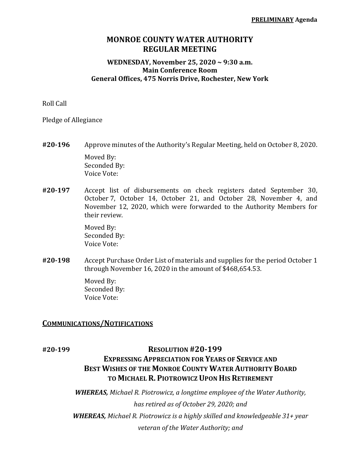# **MONROE COUNTY WATER AUTHORITY REGULAR MEETING**

#### **WEDNESDAY, November 25, 2020 ~ 9:30 a.m. Main Conference Room General Offices, 475 Norris Drive, Rochester, New York**

Roll Call

Pledge of Allegiance

- **#20‐196** Approve minutes of the Authority's Regular Meeting, held on October 8, 2020. Moved By: Seconded By: Voice Vote:
- **#20‐197** Accept list of disbursements on check registers dated September 30, October 7, October 14, October 21, and October 28, November 4, and November 12, 2020, which were forwarded to the Authority Members for their review.

 Moved By: Seconded By: Voice Vote:

**#20‐198** Accept Purchase Order List of materials and supplies for the period October 1 through November 16, 2020 in the amount of \$468,654.53.

> Moved By: Seconded By: Voice Vote:

#### **COMMUNICATIONS/NOTIFICATIONS**

## **#20‐199 RESOLUTION #20‐199**

# **EXPRESSING APPRECIATION FOR YEARS OF SERVICE AND BEST WISHES OF THE MONROE COUNTY WATER AUTHORITY BOARD TO MICHAEL R. PIOTROWICZ UPON HIS RETIREMENT**

*WHEREAS, Michael R. Piotrowicz, a longtime employee of the Water Authority, has retired as of October 29, 2020; and WHEREAS, Michael R. Piotrowicz is a highly skilled and knowledgeable 31+ year veteran of the Water Authority; and*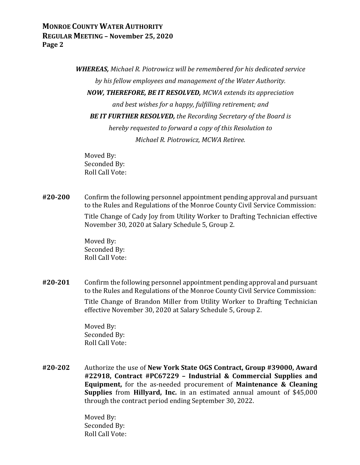*WHEREAS, Michael R. Piotrowicz will be remembered for his dedicated service by his fellow employees and management of the Water Authority. NOW, THEREFORE, BE IT RESOLVED, MCWA extends its appreciation and best wishes for a happy, fulfilling retirement; and BE IT FURTHER RESOLVED, the Recording Secretary of the Board is hereby requested to forward a copy of this Resolution to Michael R. Piotrowicz, MCWA Retiree.*

 Moved By: Seconded By: Roll Call Vote:

**#20‐200** Confirm the following personnel appointment pending approval and pursuant to the Rules and Regulations of the Monroe County Civil Service Commission:

> Title Change of Cady Joy from Utility Worker to Drafting Technician effective November 30, 2020 at Salary Schedule 5, Group 2.

 Moved By: Seconded By: Roll Call Vote:

**#20‐201** Confirm the following personnel appointment pending approval and pursuant to the Rules and Regulations of the Monroe County Civil Service Commission:

> Title Change of Brandon Miller from Utility Worker to Drafting Technician effective November 30, 2020 at Salary Schedule 5, Group 2.

 Moved By: Seconded By: Roll Call Vote:

**#20‐202** Authorize the use of **New York State OGS Contract, Group #39000, Award #22918, Contract #PC67229 – Industrial & Commercial Supplies and Equipment,** for the as-needed procurement of **Maintenance & Cleaning Supplies** from **Hillyard, Inc.** in an estimated annual amount of \$45,000 through the contract period ending September 30, 2022.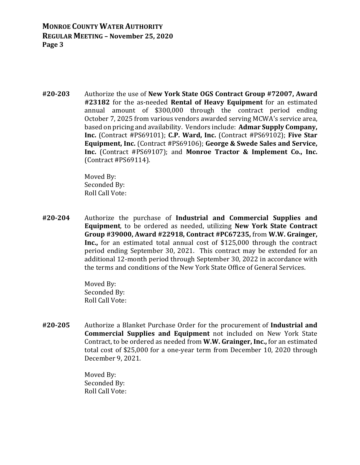**#20‐203** Authorize the use of **New York State OGS Contract Group #72007, Award #23182** for the as-needed **Rental of Heavy Equipment** for an estimated annual amount of \$300,000 through the contract period ending October 7, 2025 from various vendors awarded serving MCWA's service area, based on pricing and availability. Vendors include: **Admar Supply Company, Inc.** (Contract #PS69101); **C.P. Ward, Inc.** (Contract #PS69102); **Five Star Equipment, Inc.** (Contract #PS69106); **George & Swede Sales and Service, Inc.** (Contract #PS69107); and **Monroe Tractor & Implement Co., Inc.** (Contract #PS69114).

> Moved By: Seconded By: Roll Call Vote:

**#20‐204** Authorize the purchase of **Industrial and Commercial Supplies and Equipment**, to be ordered as needed, utilizing **New York State Contract Group #39000, Award #22918, Contract #PC67235,** from **W.W. Grainger, Inc.,** for an estimated total annual cost of \$125,000 through the contract period ending September 30, 2021. This contract may be extended for an additional 12-month period through September 30, 2022 in accordance with the terms and conditions of the New York State Office of General Services.

> Moved By: Seconded By: Roll Call Vote:

**#20‐205** Authorize a Blanket Purchase Order for the procurement of **Industrial and Commercial Supplies and Equipment** not included on New York State Contract, to be ordered as needed from **W.W. Grainger, Inc.,** for an estimated total cost of \$25,000 for a one-year term from December 10, 2020 through December 9, 2021.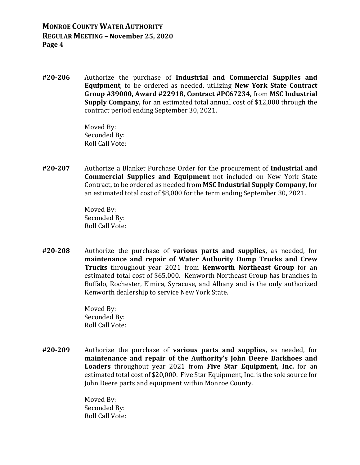**#20‐206** Authorize the purchase of **Industrial and Commercial Supplies and Equipment**, to be ordered as needed, utilizing **New York State Contract Group #39000, Award #22918, Contract #PC67234,** from **MSC Industrial Supply Company,** for an estimated total annual cost of \$12,000 through the contract period ending September 30, 2021.

> Moved By: Seconded By: Roll Call Vote:

**#20‐207** Authorize a Blanket Purchase Order for the procurement of **Industrial and Commercial Supplies and Equipment** not included on New York State Contract, to be ordered as needed from **MSC Industrial Supply Company,** for an estimated total cost of \$8,000 for the term ending September 30, 2021.

> Moved By: Seconded By: Roll Call Vote:

**#20‐208** Authorize the purchase of **various parts and supplies,** as needed, for **maintenance and repair of Water Authority Dump Trucks and Crew Trucks** throughout year 2021 from **Kenworth Northeast Group** for an estimated total cost of \$65,000. Kenworth Northeast Group has branches in Buffalo, Rochester, Elmira, Syracuse, and Albany and is the only authorized Kenworth dealership to service New York State.

> Moved By: Seconded By: Roll Call Vote:

**#20‐209** Authorize the purchase of **various parts and supplies,** as needed, for **maintenance and repair of the Authority's John Deere Backhoes and Loaders** throughout year 2021 from **Five Star Equipment, Inc.** for an estimated total cost of \$20,000. Five Star Equipment, Inc. is the sole source for John Deere parts and equipment within Monroe County.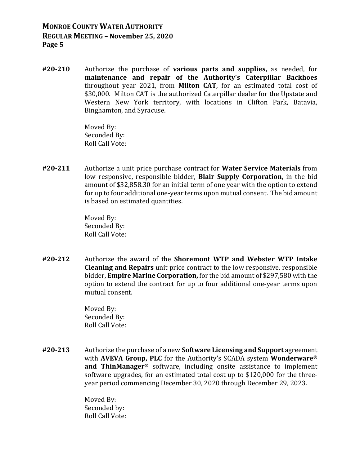**#20‐210** Authorize the purchase of **various parts and supplies,** as needed, for **maintenance and repair of the Authority's Caterpillar Backhoes** throughout year 2021, from **Milton CAT**, for an estimated total cost of \$30,000. Milton CAT is the authorized Caterpillar dealer for the Upstate and Western New York territory, with locations in Clifton Park, Batavia, Binghamton, and Syracuse.

> Moved By: Seconded By: Roll Call Vote:

**#20‐211** Authorize a unit price purchase contract for **Water Service Materials** from low responsive, responsible bidder, **Blair Supply Corporation,** in the bid amount of \$32,858.30 for an initial term of one year with the option to extend for up to four additional one-year terms upon mutual consent. The bid amount is based on estimated quantities.

> Moved By: Seconded By: Roll Call Vote:

**#20‐212** Authorize the award of the **Shoremont WTP and Webster WTP Intake Cleaning and Repairs** unit price contract to the low responsive, responsible bidder, **Empire Marine Corporation,** for the bid amount of \$297,580 with the option to extend the contract for up to four additional one-year terms upon mutual consent.

> Moved By: Seconded By: Roll Call Vote:

**#20‐213** Authorize the purchase of a new **Software Licensing and Support** agreement with **AVEVA Group, PLC** for the Authority's SCADA system **Wonderware® and ThinManager®** software, including onsite assistance to implement software upgrades, for an estimated total cost up to \$120,000 for the threeyear period commencing December 30, 2020 through December 29, 2023.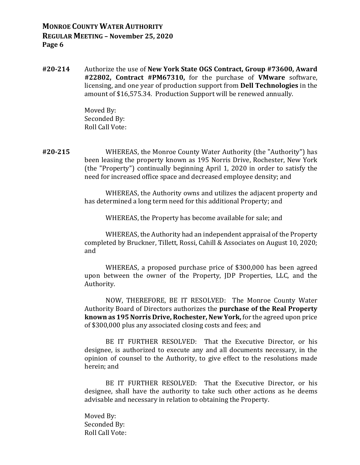**#20‐214** Authorize the use of **New York State OGS Contract, Group #73600, Award #22802, Contract #PM67310,** for the purchase of **VMware** software, licensing, and one year of production support from **Dell Technologies** in the amount of \$16,575.34. Production Support will be renewed annually.

> Moved By: Seconded By: Roll Call Vote:

**#20‐215** WHEREAS, the Monroe County Water Authority (the "Authority") has been leasing the property known as 195 Norris Drive, Rochester, New York (the "Property") continually beginning April 1, 2020 in order to satisfy the need for increased office space and decreased employee density; and

> WHEREAS, the Authority owns and utilizes the adjacent property and has determined a long term need for this additional Property; and

WHEREAS, the Property has become available for sale; and

 WHEREAS, the Authority had an independent appraisal of the Property completed by Bruckner, Tillett, Rossi, Cahill & Associates on August 10, 2020; and

 WHEREAS, a proposed purchase price of \$300,000 has been agreed upon between the owner of the Property, JDP Properties, LLC, and the Authority.

 NOW, THEREFORE, BE IT RESOLVED: The Monroe County Water Authority Board of Directors authorizes the **purchase of the Real Property known as 195 Norris Drive, Rochester, New York,** for the agreed upon price of \$300,000 plus any associated closing costs and fees; and

 BE IT FURTHER RESOLVED: That the Executive Director, or his designee, is authorized to execute any and all documents necessary, in the opinion of counsel to the Authority, to give effect to the resolutions made herein; and

 BE IT FURTHER RESOLVED: That the Executive Director, or his designee, shall have the authority to take such other actions as he deems advisable and necessary in relation to obtaining the Property.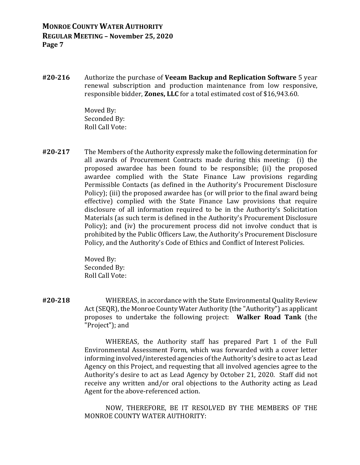**#20‐216** Authorize the purchase of **Veeam Backup and Replication Software** 5 year renewal subscription and production maintenance from low responsive, responsible bidder, **Zones, LLC** for a total estimated cost of \$16,943.60.

> Moved By: Seconded By: Roll Call Vote:

**#20‐217** The Members of the Authority expressly make the following determination for all awards of Procurement Contracts made during this meeting: (i) the proposed awardee has been found to be responsible; (ii) the proposed awardee complied with the State Finance Law provisions regarding Permissible Contacts (as defined in the Authority's Procurement Disclosure Policy); (iii) the proposed awardee has (or will prior to the final award being effective) complied with the State Finance Law provisions that require disclosure of all information required to be in the Authority's Solicitation Materials (as such term is defined in the Authority's Procurement Disclosure Policy); and (iv) the procurement process did not involve conduct that is prohibited by the Public Officers Law, the Authority's Procurement Disclosure Policy, and the Authority's Code of Ethics and Conflict of Interest Policies.

> Moved By: Seconded By: Roll Call Vote:

**#20‐218** WHEREAS, in accordance with the State Environmental Quality Review Act (SEQR), the Monroe County Water Authority (the "Authority") as applicant proposes to undertake the following project: **Walker Road Tank** (the "Project"); and

> WHEREAS, the Authority staff has prepared Part 1 of the Full Environmental Assessment Form, which was forwarded with a cover letter informing involved/interested agencies of the Authority's desire to act as Lead Agency on this Project, and requesting that all involved agencies agree to the Authority's desire to act as Lead Agency by October 21, 2020. Staff did not receive any written and/or oral objections to the Authority acting as Lead Agent for the above-referenced action.

> NOW, THEREFORE, BE IT RESOLVED BY THE MEMBERS OF THE MONROE COUNTY WATER AUTHORITY: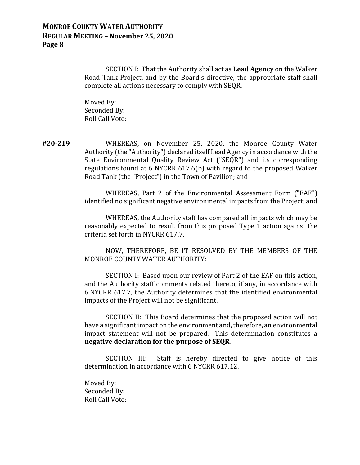SECTION I: That the Authority shall act as **Lead Agency** on the Walker Road Tank Project, and by the Board's directive, the appropriate staff shall complete all actions necessary to comply with SEQR.

 Moved By: Seconded By: Roll Call Vote:

**#20‐219** WHEREAS, on November 25, 2020, the Monroe County Water Authority (the "Authority") declared itself Lead Agency in accordance with the State Environmental Quality Review Act ("SEQR") and its corresponding regulations found at 6 NYCRR 617.6(b) with regard to the proposed Walker Road Tank (the "Project") in the Town of Pavilion; and

> WHEREAS, Part 2 of the Environmental Assessment Form ("EAF") identified no significant negative environmental impacts from the Project; and

> WHEREAS, the Authority staff has compared all impacts which may be reasonably expected to result from this proposed Type 1 action against the criteria set forth in NYCRR 617.7.

> NOW, THEREFORE, BE IT RESOLVED BY THE MEMBERS OF THE MONROE COUNTY WATER AUTHORITY:

> SECTION I: Based upon our review of Part 2 of the EAF on this action, and the Authority staff comments related thereto, if any, in accordance with 6 NYCRR 617.7, the Authority determines that the identified environmental impacts of the Project will not be significant.

> SECTION II: This Board determines that the proposed action will not have a significant impact on the environment and, therefore, an environmental impact statement will not be prepared. This determination constitutes a **negative declaration for the purpose of SEQR**.

> SECTION III: Staff is hereby directed to give notice of this determination in accordance with 6 NYCRR 617.12.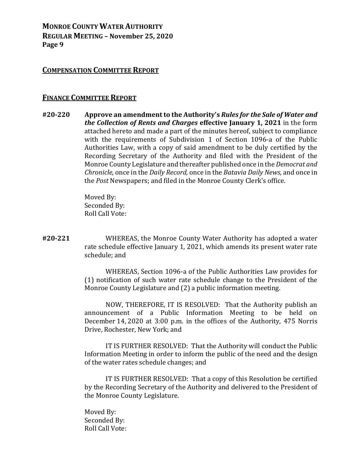#### **COMPENSATION COMMITTEE REPORT**

#### **FINANCE COMMITTEE REPORT**

**#20‐220 Approve an amendment to the Authority's** *Rules for the Sale of Water and the Collection of Rents and Charges* **effective January 1, 2021** in the form attached hereto and made a part of the minutes hereof, subject to compliance with the requirements of Subdivision 1 of Section 1096-a of the Public Authorities Law, with a copy of said amendment to be duly certified by the Recording Secretary of the Authority and filed with the President of the Monroe County Legislature and thereafter published once in the *Democrat and Chronicle,* once in the *Daily Record,* once in the *Batavia Daily News,* and once in the *Post* Newspapers; and filed in the Monroe County Clerk's office.

> Moved By: Seconded By: Roll Call Vote:

**#20‐221** WHEREAS, the Monroe County Water Authority has adopted a water rate schedule effective January 1, 2021, which amends its present water rate schedule; and

> WHEREAS, Section 1096-a of the Public Authorities Law provides for (1) notification of such water rate schedule change to the President of the Monroe County Legislature and (2) a public information meeting.

> NOW, THEREFORE, IT IS RESOLVED: That the Authority publish an announcement of a Public Information Meeting to be held on December 14, 2020 at 3:00 p.m. in the offices of the Authority, 475 Norris Drive, Rochester, New York; and

> IT IS FURTHER RESOLVED: That the Authority will conduct the Public Information Meeting in order to inform the public of the need and the design of the water rates schedule changes; and

> IT IS FURTHER RESOLVED: That a copy of this Resolution be certified by the Recording Secretary of the Authority and delivered to the President of the Monroe County Legislature.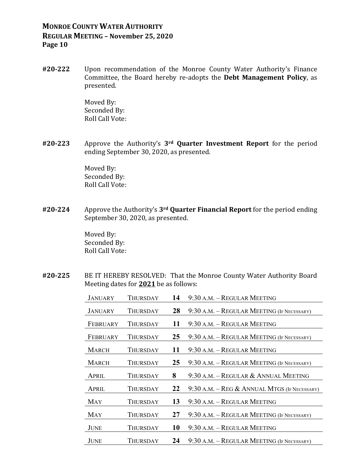**#20‐222** Upon recommendation of the Monroe County Water Authority's Finance Committee, the Board hereby re-adopts the **Debt Management Policy**, as presented.

> Moved By: Seconded By: Roll Call Vote:

**#20‐223** Approve the Authority's **3rd Quarter Investment Report** for the period ending September 30, 2020, as presented.

> Moved By: Seconded By: Roll Call Vote:

**#20‐224** Approve the Authority's **3rd Quarter Financial Report** for the period ending September 30, 2020, as presented.

> Moved By: Seconded By: Roll Call Vote:

**#20‐225** BE IT HEREBY RESOLVED: That the Monroe County Water Authority Board Meeting dates for **2021** be as follows:

| JANUARY        | Thursday        | 14 | 9:30 A.M. - REGULAR MEETING                  |
|----------------|-----------------|----|----------------------------------------------|
| <b>JANUARY</b> | <b>THURSDAY</b> | 28 | 9:30 A.M. - REGULAR MEETING (IF NECESSARY)   |
| FEBRUARY       | Thursday        | 11 | 9:30 A.M. - REGULAR MEETING                  |
| FEBRUARY       | Thursday        | 25 | 9:30 A.M. – REGULAR MEETING (IF NECESSARY)   |
| <b>MARCH</b>   | Thursday        | 11 | 9:30 A.M. – REGULAR MEETING                  |
| <b>MARCH</b>   | THURSDAY        | 25 | 9:30 A.M. - REGULAR MEETING (IF NECESSARY)   |
| APRIL          | Thursday        | 8  | $9:30$ A.M. – REGULAR & ANNUAL MEETING       |
| APRIL          | THURSDAY        | 22 | 9:30 A.M. – REG & ANNUAL MTGS (IF NECESSARY) |
| MAY            | THURSDAY        | 13 | 9:30 A.M. - REGULAR MEETING                  |
| MAY            | Thursday        | 27 | 9:30 A.M. - REGULAR MEETING (IF NECESSARY)   |
| JUNE           | Thursday        | 10 | 9:30 A.M. - REGULAR MEETING                  |
| <b>JUNE</b>    | Thursday        | 24 | 9:30 A.M. – REGULAR MEETING (IF NECESSARY)   |